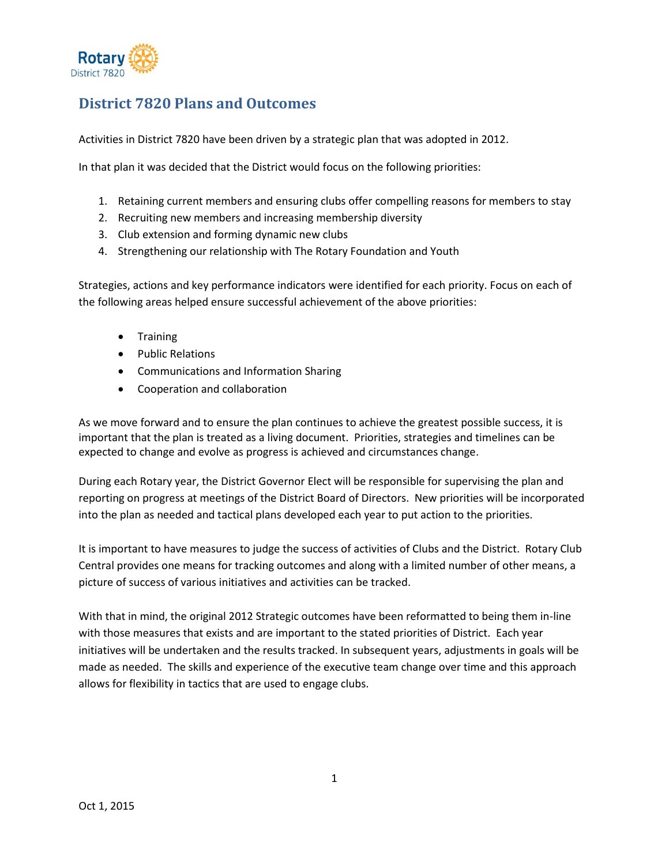

# **District 7820 Plans and Outcomes**

Activities in District 7820 have been driven by a strategic plan that was adopted in 2012.

In that plan it was decided that the District would focus on the following priorities:

- 1. Retaining current members and ensuring clubs offer compelling reasons for members to stay
- 2. Recruiting new members and increasing membership diversity
- 3. Club extension and forming dynamic new clubs
- 4. Strengthening our relationship with The Rotary Foundation and Youth

Strategies, actions and key performance indicators were identified for each priority. Focus on each of the following areas helped ensure successful achievement of the above priorities:

- Training
- Public Relations
- Communications and Information Sharing
- Cooperation and collaboration

As we move forward and to ensure the plan continues to achieve the greatest possible success, it is important that the plan is treated as a living document. Priorities, strategies and timelines can be expected to change and evolve as progress is achieved and circumstances change.

During each Rotary year, the District Governor Elect will be responsible for supervising the plan and reporting on progress at meetings of the District Board of Directors. New priorities will be incorporated into the plan as needed and tactical plans developed each year to put action to the priorities.

It is important to have measures to judge the success of activities of Clubs and the District. Rotary Club Central provides one means for tracking outcomes and along with a limited number of other means, a picture of success of various initiatives and activities can be tracked.

With that in mind, the original 2012 Strategic outcomes have been reformatted to being them in-line with those measures that exists and are important to the stated priorities of District. Each year initiatives will be undertaken and the results tracked. In subsequent years, adjustments in goals will be made as needed. The skills and experience of the executive team change over time and this approach allows for flexibility in tactics that are used to engage clubs.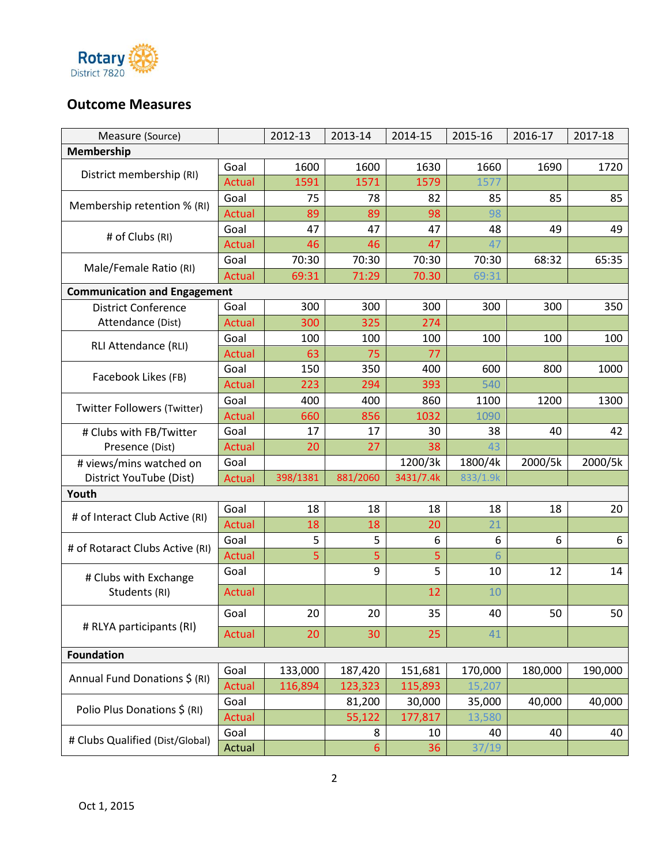

## **Outcome Measures**

| Measure (Source)                    |               | 2012-13  | 2013-14  | 2014-15   | 2015-16  | 2016-17 | 2017-18 |
|-------------------------------------|---------------|----------|----------|-----------|----------|---------|---------|
| Membership                          |               |          |          |           |          |         |         |
| District membership (RI)            | Goal          | 1600     | 1600     | 1630      | 1660     | 1690    | 1720    |
|                                     | Actual        | 1591     | 1571     | 1579      | 1577     |         |         |
| Membership retention % (RI)         | Goal          | 75       | 78       | 82        | 85       | 85      | 85      |
|                                     | <b>Actual</b> | 89       | 89       | 98        | 98       |         |         |
| # of Clubs (RI)                     | Goal          | 47       | 47       | 47        | 48       | 49      | 49      |
|                                     | Actual        | 46       | 46       | 47        | 47       |         |         |
|                                     | Goal          | 70:30    | 70:30    | 70:30     | 70:30    | 68:32   | 65:35   |
| Male/Female Ratio (RI)              | Actual        | 69:31    | 71:29    | 70.30     | 69:31    |         |         |
| <b>Communication and Engagement</b> |               |          |          |           |          |         |         |
| <b>District Conference</b>          | Goal          | 300      | 300      | 300       | 300      | 300     | 350     |
| Attendance (Dist)                   | Actual        | 300      | 325      | 274       |          |         |         |
| RLI Attendance (RLI)                | Goal          | 100      | 100      | 100       | 100      | 100     | 100     |
|                                     | <b>Actual</b> | 63       | 75       | 77        |          |         |         |
| Facebook Likes (FB)                 | Goal          | 150      | 350      | 400       | 600      | 800     | 1000    |
|                                     | <b>Actual</b> | 223      | 294      | 393       | 540      |         |         |
| <b>Twitter Followers (Twitter)</b>  | Goal          | 400      | 400      | 860       | 1100     | 1200    | 1300    |
|                                     | Actual        | 660      | 856      | 1032      | 1090     |         |         |
| # Clubs with FB/Twitter             | Goal          | 17       | 17       | 30        | 38       | 40      | 42      |
| Presence (Dist)                     | Actual        | 20       | 27       | 38        | 43       |         |         |
| # views/mins watched on             | Goal          |          |          | 1200/3k   | 1800/4k  | 2000/5k | 2000/5k |
| District YouTube (Dist)             | Actual        | 398/1381 | 881/2060 | 3431/7.4k | 833/1.9k |         |         |
| Youth                               |               |          |          |           |          |         |         |
|                                     | Goal          | 18       | 18       | 18        | 18       | 18      | 20      |
| # of Interact Club Active (RI)      | <b>Actual</b> | 18       | 18       | 20        | 21       |         |         |
| # of Rotaract Clubs Active (RI)     | Goal          | 5        | 5        | 6         | 6        | 6       | 6       |
|                                     | Actual        | 5        | 5        | 5         | 6        |         |         |
| # Clubs with Exchange               | Goal          |          | 9        | 5         | 10       | 12      | 14      |
| Students (RI)                       | Actual        |          |          | 12        | 10       |         |         |
|                                     | Goal          | 20       | 20       | 35        | 40       | 50      | 50      |
| # RLYA participants (RI)            | Actual        | 20       | 30       | 25        | 41       |         |         |
| <b>Foundation</b>                   |               |          |          |           |          |         |         |
| Annual Fund Donations \$ (RI)       | Goal          | 133,000  | 187,420  | 151,681   | 170,000  | 180,000 | 190,000 |
|                                     | Actual        | 116,894  | 123,323  | 115,893   | 15,207   |         |         |
|                                     | Goal          |          | 81,200   | 30,000    | 35,000   | 40,000  | 40,000  |
| Polio Plus Donations \$ (RI)        | Actual        |          | 55,122   | 177,817   | 13,580   |         |         |
|                                     | Goal          |          | 8        | 10        | 40       | 40      | 40      |
| # Clubs Qualified (Dist/Global)     | Actual        |          | 6        | 36        | 37/19    |         |         |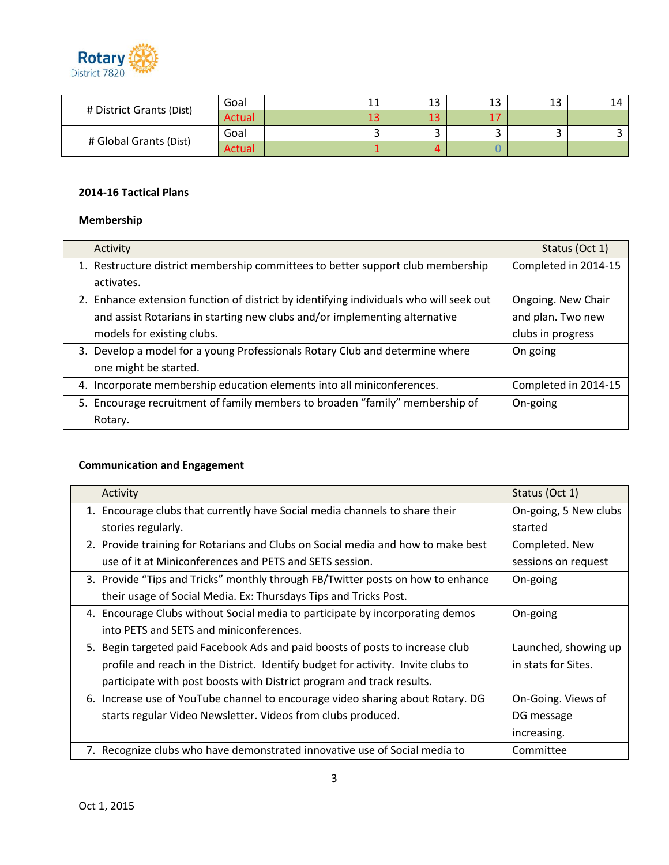

| # District Grants (Dist) | Goal   | 11<br>ᆠ | 1.3<br>ᅩ | ں ⊥ | ں ⊥ | 14 |
|--------------------------|--------|---------|----------|-----|-----|----|
|                          | Actual | ⊥J      | ⊥J       |     |     |    |
| # Global Grants (Dist)   | Goal   |         |          |     |     |    |
|                          | Actual |         |          |     |     |    |

#### **2014-16 Tactical Plans**

## **Membership**

| Activity                                                                               | Status (Oct 1)       |
|----------------------------------------------------------------------------------------|----------------------|
| 1. Restructure district membership committees to better support club membership        | Completed in 2014-15 |
| activates.                                                                             |                      |
| 2. Enhance extension function of district by identifying individuals who will seek out | Ongoing. New Chair   |
| and assist Rotarians in starting new clubs and/or implementing alternative             | and plan. Two new    |
| models for existing clubs.                                                             | clubs in progress    |
| 3. Develop a model for a young Professionals Rotary Club and determine where           | On going             |
| one might be started.                                                                  |                      |
| 4. Incorporate membership education elements into all miniconferences.                 | Completed in 2014-15 |
| 5. Encourage recruitment of family members to broaden "family" membership of           | On-going             |
| Rotary.                                                                                |                      |

## **Communication and Engagement**

| Activity                                                                         | Status (Oct 1)        |  |
|----------------------------------------------------------------------------------|-----------------------|--|
| 1. Encourage clubs that currently have Social media channels to share their      | On-going, 5 New clubs |  |
| stories regularly.                                                               | started               |  |
| 2. Provide training for Rotarians and Clubs on Social media and how to make best | Completed. New        |  |
| use of it at Miniconferences and PETS and SETS session.                          | sessions on request   |  |
| 3. Provide "Tips and Tricks" monthly through FB/Twitter posts on how to enhance  | On-going              |  |
| their usage of Social Media. Ex: Thursdays Tips and Tricks Post.                 |                       |  |
| 4. Encourage Clubs without Social media to participate by incorporating demos    | On-going              |  |
| into PETS and SETS and miniconferences.                                          |                       |  |
| 5. Begin targeted paid Facebook Ads and paid boosts of posts to increase club    | Launched, showing up  |  |
| profile and reach in the District. Identify budget for activity. Invite clubs to | in stats for Sites.   |  |
| participate with post boosts with District program and track results.            |                       |  |
| 6. Increase use of YouTube channel to encourage video sharing about Rotary. DG   | On-Going. Views of    |  |
| starts regular Video Newsletter. Videos from clubs produced.                     | DG message            |  |
|                                                                                  | increasing.           |  |
| 7. Recognize clubs who have demonstrated innovative use of Social media to       | Committee             |  |